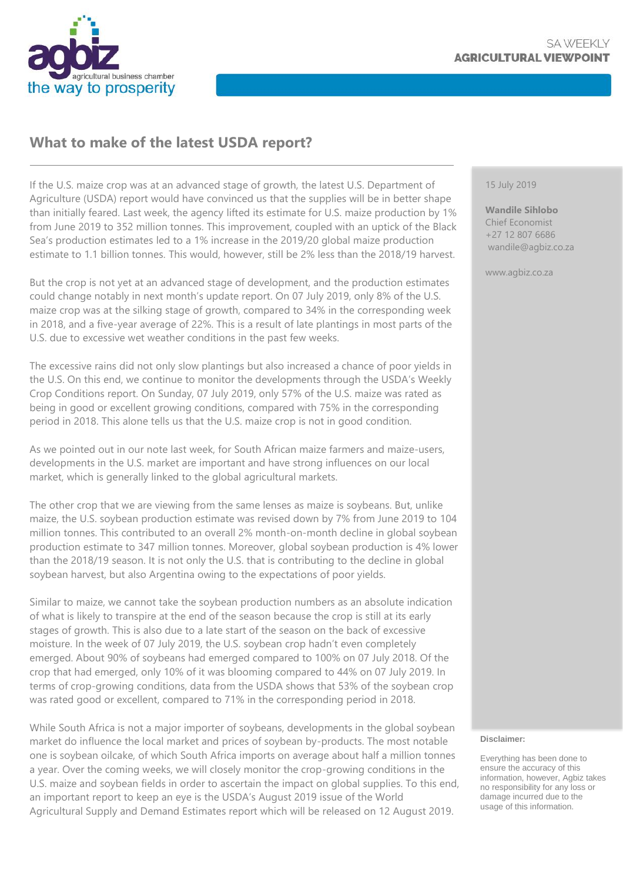

# **What to make of the latest USDA report?**

If the U.S. maize crop was at an advanced stage of growth, the latest U.S. Department of Agriculture (USDA) report would have convinced us that the supplies will be in better shape than initially feared. Last week, the agency lifted its estimate for U.S. maize production by 1% from June 2019 to 352 million tonnes. This improvement, coupled with an uptick of the Black Sea's production estimates led to a 1% increase in the 2019/20 global maize production estimate to 1.1 billion tonnes. This would, however, still be 2% less than the 2018/19 harvest.

But the crop is not yet at an advanced stage of development, and the production estimates could change notably in next month's update report. On 07 July 2019, only 8% of the U.S. maize crop was at the silking stage of growth, compared to 34% in the corresponding week in 2018, and a five-year average of 22%. This is a result of late plantings in most parts of the U.S. due to excessive wet weather conditions in the past few weeks.

The excessive rains did not only slow plantings but also increased a chance of poor yields in the U.S. On this end, we continue to monitor the developments through the USDA's Weekly Crop Conditions report. On Sunday, 07 July 2019, only 57% of the U.S. maize was rated as being in good or excellent growing conditions, compared with 75% in the corresponding period in 2018. This alone tells us that the U.S. maize crop is not in good condition.

As we pointed out in our note last week, for South African maize farmers and maize-users, developments in the U.S. market are important and have strong influences on our local market, which is generally linked to the global agricultural markets.

The other crop that we are viewing from the same lenses as maize is soybeans. But, unlike maize, the U.S. soybean production estimate was revised down by 7% from June 2019 to 104 million tonnes. This contributed to an overall 2% month-on-month decline in global soybean production estimate to 347 million tonnes. Moreover, global soybean production is 4% lower than the 2018/19 season. It is not only the U.S. that is contributing to the decline in global soybean harvest, but also Argentina owing to the expectations of poor yields.

Similar to maize, we cannot take the soybean production numbers as an absolute indication of what is likely to transpire at the end of the season because the crop is still at its early stages of growth. This is also due to a late start of the season on the back of excessive moisture. In the week of 07 July 2019, the U.S. soybean crop hadn't even completely emerged. About 90% of soybeans had emerged compared to 100% on 07 July 2018. Of the crop that had emerged, only 10% of it was blooming compared to 44% on 07 July 2019. In terms of crop-growing conditions, data from the USDA shows that 53% of the soybean crop was rated good or excellent, compared to 71% in the corresponding period in 2018.

While South Africa is not a major importer of soybeans, developments in the global soybean market do influence the local market and prices of soybean by-products. The most notable one is soybean oilcake, of which South Africa imports on average about half a million tonnes a year. Over the coming weeks, we will closely monitor the crop-growing conditions in the U.S. maize and soybean fields in order to ascertain the impact on global supplies. To this end, an important report to keep an eye is the USDA's August 2019 issue of the World Agricultural Supply and Demand Estimates report which will be released on 12 August 2019.

#### 15 July 2019

**Wandile Sihlobo** Chief Economist +27 12 807 6686 wandile@agbiz.co.za

www.agbiz.co.za

#### **Disclaimer:**

Everything has been done to ensure the accuracy of this information, however, Agbiz takes no responsibility for any loss or damage incurred due to the usage of this information.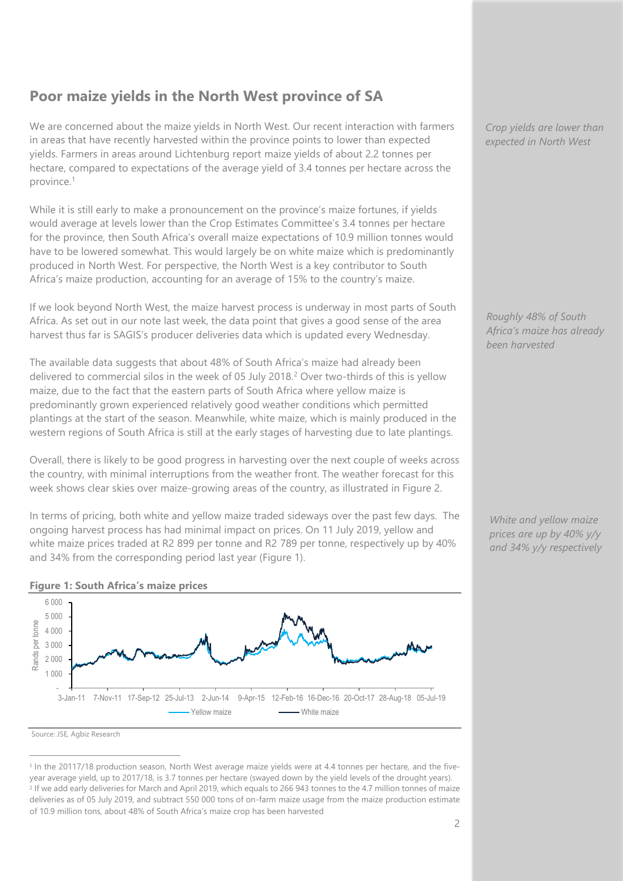# **Poor maize yields in the North West province of SA**

We are concerned about the maize yields in North West. Our recent interaction with farmers in areas that have recently harvested within the province points to lower than expected yields. Farmers in areas around Lichtenburg report maize yields of about 2.2 tonnes per hectare, compared to expectations of the average yield of 3.4 tonnes per hectare across the province.<sup>1</sup>

While it is still early to make a pronouncement on the province's maize fortunes, if yields would average at levels lower than the Crop Estimates Committee's 3.4 tonnes per hectare for the province, then South Africa's overall maize expectations of 10.9 million tonnes would have to be lowered somewhat. This would largely be on white maize which is predominantly produced in North West. For perspective, the North West is a key contributor to South Africa's maize production, accounting for an average of 15% to the country's maize.

If we look beyond North West, the maize harvest process is underway in most parts of South Africa. As set out in our note last week, the data point that gives a good sense of the area harvest thus far is SAGIS's producer deliveries data which is updated every Wednesday.

The available data suggests that about 48% of South Africa's maize had already been delivered to commercial silos in the week of 05 July 2018.<sup>2</sup> Over two-thirds of this is yellow maize, due to the fact that the eastern parts of South Africa where yellow maize is predominantly grown experienced relatively good weather conditions which permitted plantings at the start of the season. Meanwhile, white maize, which is mainly produced in the western regions of South Africa is still at the early stages of harvesting due to late plantings.

Overall, there is likely to be good progress in harvesting over the next couple of weeks across the country, with minimal interruptions from the weather front. The weather forecast for this week shows clear skies over maize-growing areas of the country, as illustrated in Figure 2.

In terms of pricing, both white and yellow maize traded sideways over the past few days. The ongoing harvest process has had minimal impact on prices. On 11 July 2019, yellow and white maize prices traded at R2 899 per tonne and R2 789 per tonne, respectively up by 40% and 34% from the corresponding period last year (Figure 1).



#### **Figure 1: South Africa's maize prices**

Source: JSE, Agbiz Research

 $\overline{a}$ 

*Crop yields are lower than expected in North West*

*Roughly 48% of South Africa's maize has already been harvested*

*White and yellow maize prices are up by 40% y/y and 34% y/y respectively*

<sup>&</sup>lt;sup>1</sup> In the 20117/18 production season, North West average maize yields were at 4.4 tonnes per hectare, and the fiveyear average yield, up to 2017/18, is 3.7 tonnes per hectare (swayed down by the yield levels of the drought years). <sup>2</sup> If we add early deliveries for March and April 2019, which equals to 266 943 tonnes to the 4.7 million tonnes of maize deliveries as of 05 July 2019, and subtract 550 000 tons of on-farm maize usage from the maize production estimate of 10.9 million tons, about 48% of South Africa's maize crop has been harvested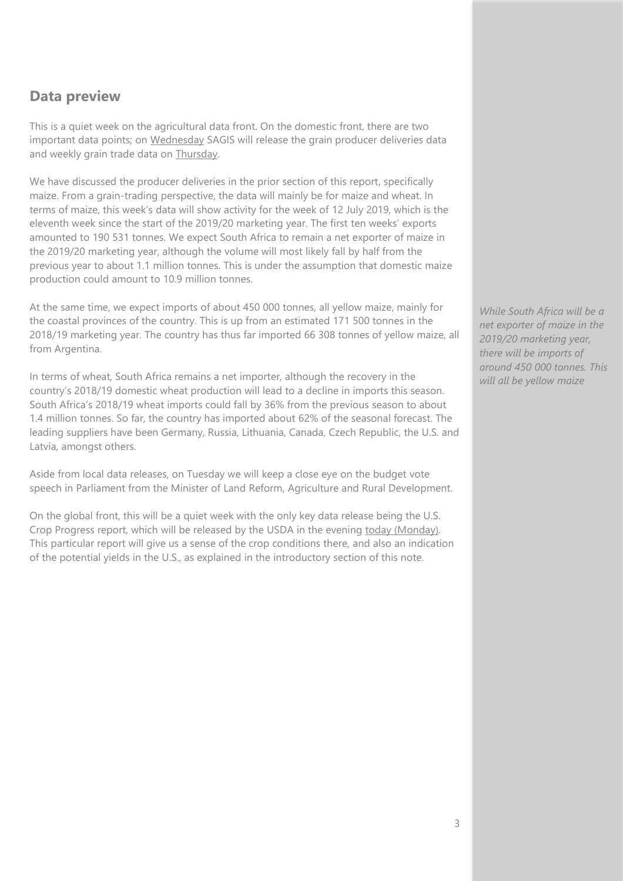### **Data preview**

This is a quiet week on the agricultural data front. On the domestic front, there are two important data points; on Wednesday SAGIS will release the grain producer deliveries data and weekly grain trade data on Thursday.

We have discussed the producer deliveries in the prior section of this report, specifically maize. From a grain-trading perspective, the data will mainly be for maize and wheat. In terms of maize, this week's data will show activity for the week of 12 July 2019, which is the eleventh week since the start of the 2019/20 marketing year. The first ten weeks' exports amounted to 190 531 tonnes. We expect South Africa to remain a net exporter of maize in the 2019/20 marketing year, although the volume will most likely fall by half from the previous year to about 1.1 million tonnes. This is under the assumption that domestic maize production could amount to 10.9 million tonnes.

At the same time, we expect imports of about 450 000 tonnes, all yellow maize, mainly for the coastal provinces of the country. This is up from an estimated 171 500 tonnes in the 2018/19 marketing year. The country has thus far imported 66 308 tonnes of yellow maize, all from Argentina.

In terms of wheat, South Africa remains a net importer, although the recovery in the country's 2018/19 domestic wheat production will lead to a decline in imports this season. South Africa's 2018/19 wheat imports could fall by 36% from the previous season to about 1.4 million tonnes. So far, the country has imported about 62% of the seasonal forecast. The leading suppliers have been Germany, Russia, Lithuania, Canada, Czech Republic, the U.S. and Latvia, amongst others.

Aside from local data releases, on Tuesday we will keep a close eye on the budget vote speech in Parliament from the Minister of Land Reform, Agriculture and Rural Development.

On the global front, this will be a quiet week with the only key data release being the U.S. Crop Progress report, which will be released by the USDA in the evening today (Monday). This particular report will give us a sense of the crop conditions there, and also an indication of the potential yields in the U.S., as explained in the introductory section of this note.

*While South Africa will be a net exporter of maize in the 2019/20 marketing year, there will be imports of around 450 000 tonnes. This will all be yellow maize*